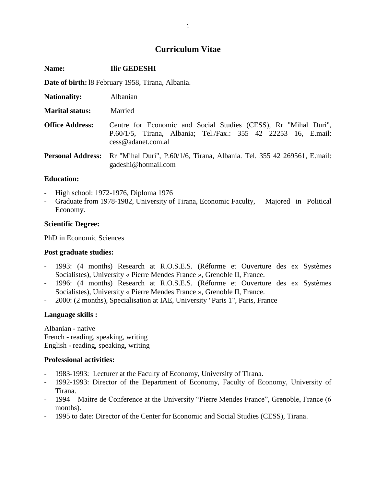# **Curriculum Vitae**

| Name:                                                    | <b>Ilir GEDESHI</b>                                                                                                                                              |
|----------------------------------------------------------|------------------------------------------------------------------------------------------------------------------------------------------------------------------|
| <b>Date of birth:</b> 18 February 1958, Tirana, Albania. |                                                                                                                                                                  |
| <b>Nationality:</b>                                      | Albanian                                                                                                                                                         |
| <b>Marital status:</b>                                   | Married                                                                                                                                                          |
| <b>Office Address:</b>                                   | Centre for Economic and Social Studies (CESS), Rr "Mihal Duri",<br>P.60/1/5, Tirana, Albania; Tel./Fax.: 355 42 22253 16, E.mail:<br>$\cos \omega$ adanet.com.al |
| <b>Personal Address:</b>                                 | Rr "Mihal Duri", P.60/1/6, Tirana, Albania. Tel. 355 42 269561, E.mail:<br>gadeshi@hotmail.com                                                                   |
| <b>Education:</b>                                        |                                                                                                                                                                  |

- High school: 1972-1976, Diploma 1976
- Graduate from 1978-1982, University of Tirana, Economic Faculty, Majored in Political Economy.

## **Scientific Degree:**

PhD in Economic Sciences

## **Post graduate studies:**

- 1993: (4 months) Research at R.O.S.E.S. (Réforme et Ouverture des ex Systèmes Socialistes), University « Pierre Mendes France », Grenoble II, France.
- 1996: (4 months) Research at R.O.S.E.S. (Réforme et Ouverture des ex Systèmes Socialistes), University « Pierre Mendes France », Grenoble II, France.
- 2000: (2 months), Specialisation at IAE, University "Paris 1", Paris, France

## **Language skills :**

Albanian - native French - reading, speaking, writing English - reading, speaking, writing

## **Professional activities:**

- 1983-1993: Lecturer at the Faculty of Economy, University of Tirana.
- 1992-1993: Director of the Department of Economy, Faculty of Economy, University of Tirana.
- 1994 Maitre de Conference at the University "Pierre Mendes France", Grenoble, France (6 months).
- 1995 to date: Director of the Center for Economic and Social Studies (CESS), Tirana.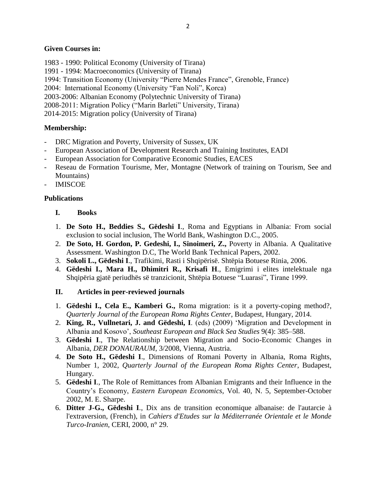## **Given Courses in:**

1983 - 1990: Political Economy (University of Tirana)

1991 - 1994: Macroeconomics (University of Tirana)

1994: Transition Economy (University "Pierre Mendes France", Grenoble, France)

2004: International Economy (University "Fan Noli", Korca)

2003-2006: Albanian Economy (Polytechnic University of Tirana)

2008-2011: Migration Policy ("Marin Barleti" University, Tirana)

2014-2015: Migration policy (University of Tirana)

# **Membership:**

- DRC Migration and Poverty, University of Sussex, UK
- European Association of Development Research and Training Institutes, EADI
- European Association for Comparative Economic Studies, EACES
- Reseau de Formation Tourisme, Mer, Montagne (Network of training on Tourism, See and Mountains)
- IMISCOE

# **Publications**

# **I. Books**

- 1. **De Soto H., Beddies S., Gëdeshi I**., Roma and Egyptians in Albania: From social exclusion to social inclusion, The World Bank, Washington D.C., 2005.
- 2. **De Soto, H. Gordon, P. Gedeshi, I., Sinoimeri, Z.,** Poverty in Albania. A Qualitative Assessment. Washington D.C, The World Bank Technical Papers, 2002.
- 3. **Sokoli L., Gëdeshi I**., Trafikimi, Rasti i Shqipërisë. Shtëpia Botuese Rinia, 2006.
- 4. **Gëdeshi I., Mara H., Dhimitri R., Krisafi H**., Emigrimi i elites intelektuale nga Shqipëria gjatë periudhës së tranzicionit, Shtëpia Botuese "Luarasi", Tirane 1999.

# **II. Articles in peer-reviewed journals**

- 1. **Gëdeshi I., Cela E., Kamberi G.,** Roma migration: is it a poverty-coping method?, *Quarterly Journal of the European Roma Rights Center*, Budapest, Hungary, 2014.
- 2. **King, R., Vullnetari, J. and Gëdeshi, I**. (eds) (2009) 'Migration and Development in Albania and Kosovo', *Southeast European and Black Sea Studies* 9(4): 385–588.
- 3. **Gëdeshi I**., The Relationship between Migration and Socio-Economic Changes in Albania, *DER DONAURAUM*, 3/2008, Vienna, Austria.
- 4. **De Soto H., Gëdeshi I**., Dimensions of Romani Poverty in Albania, Roma Rights, Number 1, 2002, *Quarterly Journal of the European Roma Rights Center*, Budapest, Hungary.
- 5. **Gëdeshi I**., The Role of Remittances from Albanian Emigrants and their Influence in the Country's Economy, *Eastern European Economics*, Vol. 40, N. 5, September-October 2002, M. E. Sharpe.
- 6. **Ditter J-G., Gëdeshi I**., Dix ans de transition economique albanaise: de l'autarcie à l'extraversion, (French), in *Cahiers d'Etudes sur la Méditerranée Orientale et le Monde Turco-Iranien*, CERI, 2000, n° 29.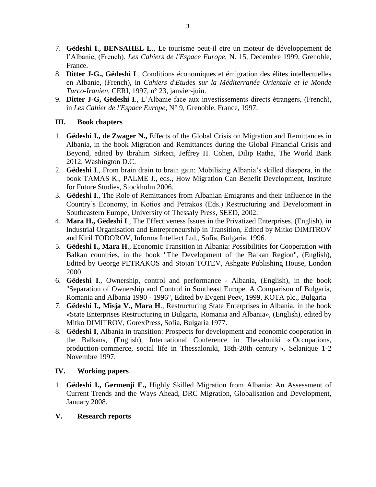- 7. **Gëdeshi I., BENSAHEL L**., Le tourisme peut-il etre un moteur de développement de l'Albanie, (French), *Les Cahiers de l'Espace Europe*, N. 15, Decembre 1999, Grenoble, France.
- 8. **Ditter J-G., Gëdeshi I**., Conditions économiques et émigration des élites intellectuelles en Albanie, (French), in *Cahiers d'Etudes sur la Méditerranée Orientale et le Monde Turco-Iranien*, CERI, 1997, n° 23, janvier-juin.
- 9. **Ditter J-G, Gëdeshi I**., L'Albanie face aux investissements directs étrangers, (French), in *Les Cahier de l'Espace Europe*, N° 9, Grenoble, France, 1997.

# **III. Book chapters**

- 1. **Gëdeshi I., de Zwager N.,** Effects of the Global Crisis on Migration and Remittances in Albania, in the book Migration and Remittances during the Global Financial Crisis and Beyond, edited by Ibrahim Sirkeci, Jeffrey H. Cohen, Dilip Ratha, The World Bank 2012, Washington D.C.
- 2. **Gëdeshi I**., From brain drain to brain gain: Mobilising Albania's skilled diaspora, in the book TAMAS K., PALME J., eds., How Migration Can Benefit Development, Institute for Future Studies, Stockholm 2006.
- 3. **Gëdeshi I**., The Role of Remittances from Albanian Emigrants and their Influence in the Country's Economy, in Kotios and Petrakos (Eds.) Restructuring and Development in Southeastern Europe, University of Thessaly Press, SEED, 2002.
- 4. **Mara H., Gëdeshi I**., The Effectiveness Issues in the Privatized Enterprises, (English), in Industrial Organisation and Entrepreneurship in Transition, Edited by Mitko DIMITROV and Kiril TODOROV, Informa Intellect Ltd., Sofia, Bulgaria, 1996.
- 5. **Gëdeshi I., Mara H**., Economic Transition in Albania: Possibilities for Cooperation with Balkan countries, in the book "The Development of the Balkan Region", (English), Edited by George PETRAKOS and Stojan TOTEV, Ashgate Publishing House, London 2000
- 6. **Gëdeshi I**., Ownership, control and performance Albania, (English), in the book "Separation of Ownership and Control in Southeast Europe. A Comparison of Bulgaria, Romania and Albania 1990 - 1996", Edited by Evgeni Peev, 1999, KOTA plc., Bulgaria
- 7. **Gëdeshi I., Misja V., Mara H**., Restructuring State Enterprises in Albania, in the book «State Enterprises Restructuring in Bulgaria, Romania and Albania», (English), edited by Mitko DIMITROV, GorexPress, Sofia, Bulgaria 1977.
- 8. **Gëdeshi I**, Albania in transition: Prospects for development and economic cooperation in the Balkans, (English), International Conference in Thesaloniki « Occupations, production-commerce, social life in Thessaloniki, 18th-20th century », Selanique 1-2 Novembre 1997.

# **IV. Working papers**

1. **Gëdeshi I., Germenji E.,** Highly Skilled Migration from Albania: An Assessment of Current Trends and the Ways Ahead, DRC Migration, Globalisation and Development, January 2008.

# **V. Research reports**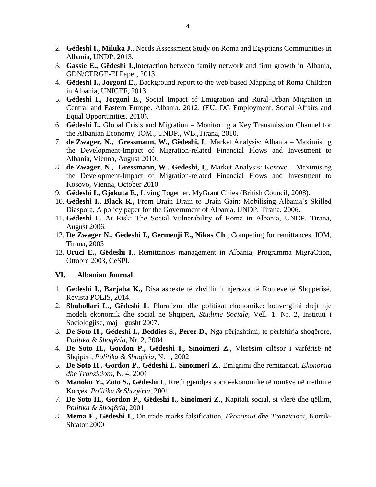- 2. **Gëdeshi I., Miluka J**., Needs Assessment Study on Roma and Egyptians Communities in Albania, UNDP, 2013.
- 3. **Gassie E., Gëdeshi I.,**Interaction between family network and firm growth in Albania, GDN/CERGE-EI Paper, 2013.
- 4. **Gëdeshi I., Jorgoni E**., Background report to the web based Mapping of Roma Children in Albania, UNICEF, 2013.
- 5. **Gëdeshi I., Jorgoni E**., Social Impact of Emigration and Rural-Urban Migration in Central and Eastern Europe. Albania. 2012. (EU, DG Employment, Social Affairs and Equal Opportunities, 2010).
- 6. **Gëdeshi I.,** Global Crisis and Migration Monitoring a Key Transmission Channel for the Albanian Economy, IOM., UNDP., WB.,Tirana, 2010.
- 7. **de Zwager, N., Gressmann, W., Gëdeshi, I**., Market Analysis: Albania Maximising the Development-Impact of Migration-related Financial Flows and Investment to Albania, Vienna, August 2010.
- 8. **de Zwager, N., Gressmann, W., Gëdeshi, I**., Market Analysis: Kosovo Maximising the Development-Impact of Migration-related Financial Flows and Investment to Kosovo, Vienna, October 2010
- 9. **Gëdeshi I., Gjokuta E.,** Living Together. MyGrant Cities (British Council, 2008).
- 10. **Gëdeshi I., Black R.,** From Brain Drain to Brain Gain: Mobilising Albania's Skilled Diaspora, A policy paper for the Government of Albania. UNDP, Tirana, 2006.
- 11. **Gëdeshi I**., At Risk: The Social Vulnerability of Roma in Albania, UNDP, Tirana, August 2006.
- 12. **De Zwager N., Gëdeshi I., Germenji E., Nikas Ch**., Competing for remittances, IOM, Tirana, 2005
- 13. **Uruci E., Gëdeshi I**., Remittances management in Albania, Programma MigraCtion, Ottobre 2003, CeSPI.

## **VI. Albanian Journal**

- 1. **Gedeshi I., Barjaba K.,** Disa aspekte të zhvillimit njerëzor të Romëve të Shqipërisë. Revista POLIS, 2014.
- 2. **Shahollari L., Gëdeshi I**., Pluralizmi dhe politikat ekonomike: konvergimi drejt nje modeli ekonomik dhe social ne Shqiperi, *Studime Sociale*, Vell. 1, Nr. 2, Instituti i Sociologjise, maj – gusht 2007.
- 3. **De Soto H., Gëdeshi I., Beddies S., Perez D**., Nga përjashtimi, te përfshirja shoqërore, *Politika & Shoqëria*, Nr. 2, 2004
- 4. **De Soto H., Gordon P., Gëdeshi I., Sinoimeri Z**., Vlerësim cilësor i varfërisë në Shqipëri, *Politika & Shoqëria*, N. 1, 2002
- 5. **De Soto H., Gordon P., Gëdeshi I., Sinoimeri Z**., Emigrimi dhe remitancat, *Ekonomia dhe Tranzicioni*, N. 4, 2001
- 6. **Manoku Y., Zoto S., Gëdeshi I**., Rreth gjendjes socio-ekonomike të romëve në rrethin e Korçës, *Politika & Shoqëria*, 2001
- 7. **De Soto H., Gordon P., Gëdeshi I., Sinoimeri Z**., Kapitali social, si vlerë dhe qëllim, *Politika & Shoqëria*, 2001
- 8. **Mema F., Gëdeshi I**., On trade marks falsification, *Ekonomia dhe Tranzicioni*, Korrik-Shtator 2000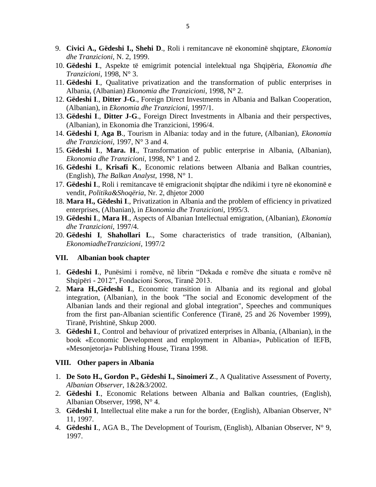- 9. **Civici A., Gëdeshi I., Shehi D**., Roli i remitancave në ekonominë shqiptare, *Ekonomia dhe Tranzicioni*, N. 2, 1999.
- 10. **Gëdeshi I**., Aspekte të emigrimit potencial intelektual nga Shqipëria, *Ekonomia dhe Tranzicioni*, 1998, N° 3.
- 11. **Gëdeshi I**., Qualitative privatization and the transformation of public enterprises in Albania, (Albanian) *Ekonomia dhe Tranzicioni*, 1998, N° 2.
- 12. **Gëdeshi I**., **Ditter J-G**., Foreign Direct Investments in Albania and Balkan Cooperation, (Albanian), in *Ekonomia dhe Tranzicioni*, 1997/1.
- 13. **Gëdeshi I**., **Ditter J-G**., Foreign Direct Investments in Albania and their perspectives, (Albanian), in Ekonomia dhe Tranzicioni, 1996/4.
- 14. **Gëdeshi I**, **Aga B**., Tourism in Albania: today and in the future, (Albanian), *Ekonomia dhe Tranzicioni*, 1997, N° 3 and 4.
- 15. **Gëdeshi I**., **Mara. H**., Transformation of public enterprise in Albania, (Albanian), *Ekonomia dhe Tranzicioni*, 1998, N° 1 and 2.
- 16. **Gëdeshi I**., **Krisafi K**., Economic relations between Albania and Balkan countries, (English), *The Balkan Analyst*, 1998, N° 1.
- 17. **Gëdeshi I**., Roli i remitancave të emigracionit shqiptar dhe ndikimi i tyre në ekonominë e vendit, *Politika&Shoqëria*, Nr. 2, dhjetor 2000
- 18. **Mara H., Gëdeshi I**., Privatization in Albania and the problem of efficiency in privatized enterprises, (Albanian), in *Ekonomia dhe Tranzicioni*, 1995/3.
- 19. **Gëdeshi I**., **Mara H**., Aspects of Albanian Intellectual emigration, (Albanian), *Ekonomia dhe Tranzicioni*, 1997/4.
- 20. **Gëdeshi I**, **Shahollari L**., Some characteristics of trade transition, (Albanian), *EkonomiadheTranzicioni*, 1997/2

#### **VII. Albanian book chapter**

- 1. **Gëdeshi I**., Punësimi i romëve, në librin "Dekada e romëve dhe situata e romëve në Shqipëri - 2012", Fondacioni Soros, Tiranë 2013.
- 2. **Mara H.,Gëdeshi I**., Economic transition in Albania and its regional and global integration, (Albanian), in the book "The social and Economic development of the Albanian lands and their regional and global integration", Speeches and communiques from the first pan-Albanian scientific Conference (Tiranë, 25 and 26 November 1999), Tiranë, Prishtinë, Shkup 2000.
- 3. **Gëdeshi I**., Control and behaviour of privatized enterprises in Albania, (Albanian), in the book «Economic Development and employment in Albania», Publication of IEFB, «Mesonjetorja» Publishing House, Tirana 1998.

#### **VIII. Other papers in Albania**

- 1. **De Soto H., Gordon P., Gëdeshi I., Sinoimeri Z**., A Qualitative Assessment of Poverty, *Albanian Observer*, 1&2&3/2002.
- 2. **Gëdeshi I**., Economic Relations between Albania and Balkan countries, (English), Albanian Observer, 1998, N° 4.
- 3. **Gëdeshi I**, Intellectual elite make a run for the border, (English), Albanian Observer, N° 11, 1997.
- 4. **Gëdeshi I**., AGA B., The Development of Tourism, (English), Albanian Observer, N° 9, 1997.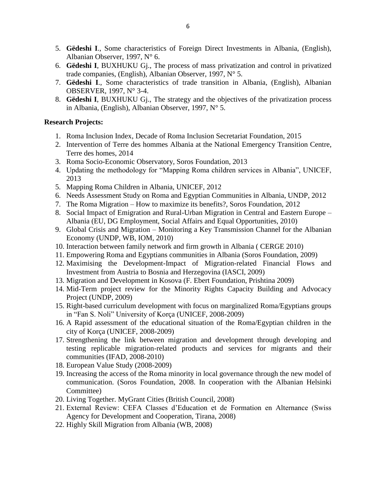- 5. **Gëdeshi I**., Some characteristics of Foreign Direct Investments in Albania, (English), Albanian Observer, 1997, N° 6.
- 6. **Gëdeshi I**, BUXHUKU Gj., The process of mass privatization and control in privatized trade companies, (English), Albanian Observer, 1997, N° 5.
- 7. **Gëdeshi I**., Some characteristics of trade transition in Albania, (English), Albanian OBSERVER, 1997, N° 3-4.
- 8. **Gëdeshi I**, BUXHUKU Gj., The strategy and the objectives of the privatization process in Albania, (English), Albanian Observer, 1997, N° 5.

## **Research Projects:**

- 1. Roma Inclusion Index, Decade of Roma Inclusion Secretariat Foundation, 2015
- 2. Intervention of Terre des hommes Albania at the National Emergency Transition Centre, Terre des homes, 2014
- 3. Roma Socio-Economic Observatory, Soros Foundation, 2013
- 4. Updating the methodology for "Mapping Roma children services in Albania", UNICEF, 2013
- 5. Mapping Roma Children in Albania, UNICEF, 2012
- 6. Needs Assessment Study on Roma and Egyptian Communities in Albania, UNDP, 2012
- 7. The Roma Migration How to maximize its benefits?, Soros Foundation, 2012
- 8. Social Impact of Emigration and Rural-Urban Migration in Central and Eastern Europe Albania (EU, DG Employment, Social Affairs and Equal Opportunities, 2010)
- 9. Global Crisis and Migration Monitoring a Key Transmission Channel for the Albanian Economy (UNDP, WB, IOM, 2010)
- 10. Interaction between family network and firm growth in Albania ( CERGE 2010)
- 11. Empowering Roma and Egyptians communities in Albania (Soros Foundation, 2009)
- 12. Maximising the Development-Impact of Migration-related Financial Flows and Investment from Austria to Bosnia and Herzegovina (IASCI, 2009)
- 13. Migration and Development in Kosova (F. Ebert Foundation, Prishtina 2009)
- 14. Mid-Term project review for the Minority Rights Capacity Building and Advocacy Project (UNDP, 2009)
- 15. Right-based curriculum development with focus on marginalized Roma/Egyptians groups in "Fan S. Noli" University of Korça (UNICEF, 2008-2009)
- 16. A Rapid assessment of the educational situation of the Roma/Egyptian children in the city of Korça (UNICEF, 2008-2009)
- 17. Strengthening the link between migration and development through developing and testing replicable migration-related products and services for migrants and their communities (IFAD, 2008-2010)
- 18. European Value Study (2008-2009)
- 19. Increasing the access of the Roma minority in local governance through the new model of communication. (Soros Foundation, 2008. In cooperation with the Albanian Helsinki Committee)
- 20. Living Together. MyGrant Cities (British Council, 2008)
- 21. External Review: CEFA Classes d'Education et de Formation en Alternance (Swiss Agency for Development and Cooperation, Tirana, 2008)
- 22. Highly Skill Migration from Albania (WB, 2008)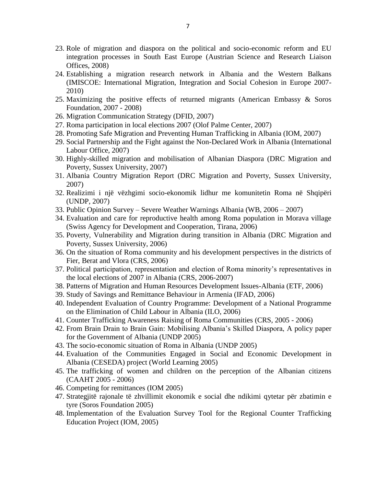- 23. Role of migration and diaspora on the political and socio-economic reform and EU integration processes in South East Europe (Austrian Science and Research Liaison Offices, 2008)
- 24. Establishing a migration research network in Albania and the Western Balkans (IMISCOE: International Migration, Integration and Social Cohesion in Europe 2007- 2010)
- 25. Maximizing the positive effects of returned migrants (American Embassy & Soros Foundation, 2007 - 2008)
- 26. Migration Communication Strategy (DFID, 2007)
- 27. Roma participation in local elections 2007 (Olof Palme Center, 2007)
- 28. Promoting Safe Migration and Preventing Human Trafficking in Albania (IOM, 2007)
- 29. Social Partnership and the Fight against the Non-Declared Work in Albania (International Labour Office, 2007)
- 30. Highly-skilled migration and mobilisation of Albanian Diaspora (DRC Migration and Poverty, Sussex University, 2007)
- 31. Albania Country Migration Report (DRC Migration and Poverty, Sussex University, 2007)
- 32. Realizimi i një vëzhgimi socio-ekonomik lidhur me komunitetin Roma në Shqipëri (UNDP, 2007)
- 33. Public Opinion Survey Severe Weather Warnings Albania (WB, 2006 2007)
- 34. Evaluation and care for reproductive health among Roma population in Morava village (Swiss Agency for Development and Cooperation, Tirana, 2006)
- 35. Poverty, Vulnerability and Migration during transition in Albania (DRC Migration and Poverty, Sussex University, 2006)
- 36. On the situation of Roma community and his development perspectives in the districts of Fier, Berat and Vlora (CRS, 2006)
- 37. Political participation, representation and election of Roma minority's representatives in the local elections of 2007 in Albania (CRS, 2006-2007)
- 38. Patterns of Migration and Human Resources Development Issues-Albania (ETF, 2006)
- 39. Study of Savings and Remittance Behaviour in Armenia (IFAD, 2006)
- 40. Independent Evaluation of Country Programme: Development of a National Programme on the Elimination of Child Labour in Albania (ILO, 2006)
- 41. Counter Trafficking Awareness Raising of Roma Communities (CRS, 2005 2006)
- 42. From Brain Drain to Brain Gain: Mobilising Albania's Skilled Diaspora, A policy paper for the Government of Albania (UNDP 2005)
- 43. The socio-economic situation of Roma in Albania (UNDP 2005)
- 44. Evaluation of the Communities Engaged in Social and Economic Development in Albania (CESEDA) project (World Learning 2005)
- 45. The trafficking of women and children on the perception of the Albanian citizens (CAAHT 2005 - 2006)
- 46. Competing for remittances (IOM 2005)
- 47. Strategjitë rajonale të zhvillimit ekonomik e social dhe ndikimi qytetar për zbatimin e tyre (Soros Foundation 2005)
- 48. Implementation of the Evaluation Survey Tool for the Regional Counter Trafficking Education Project (IOM, 2005)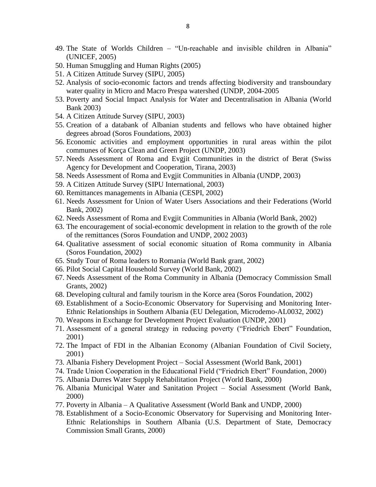- 49. The State of Worlds Children "Un-reachable and invisible children in Albania" (UNICEF, 2005)
- 50. Human Smuggling and Human Rights (2005)
- 51. A Citizen Attitude Survey (SIPU, 2005)
- 52. Analysis of socio-economic factors and trends affecting biodiversity and transboundary water quality in Micro and Macro Prespa watershed (UNDP, 2004-2005
- 53. Poverty and Social Impact Analysis for Water and Decentralisation in Albania (World Bank 2003)
- 54. A Citizen Attitude Survey (SIPU, 2003)
- 55. Creation of a databank of Albanian students and fellows who have obtained higher degrees abroad (Soros Foundations, 2003)
- 56. Economic activities and employment opportunities in rural areas within the pilot communes of Korça Clean and Green Project (UNDP, 2003)
- 57. Needs Assessment of Roma and Evgjit Communities in the district of Berat (Swiss Agency for Development and Cooperation, Tirana, 2003)
- 58. Needs Assessment of Roma and Evgjit Communities in Albania (UNDP, 2003)
- 59. A Citizen Attitude Survey (SIPU International, 2003)
- 60. Remittances managements in Albania (CESPI, 2002)
- 61. Needs Assessment for Union of Water Users Associations and their Federations (World Bank, 2002)
- 62. Needs Assessment of Roma and Evgjit Communities in Albania (World Bank, 2002)
- 63. The encouragement of social-economic development in relation to the growth of the role of the remittances (Soros Foundation and UNDP, 2002 2003)
- 64. Qualitative assessment of social economic situation of Roma community in Albania (Soros Foundation, 2002)
- 65. Study Tour of Roma leaders to Romania (World Bank grant, 2002)
- 66. Pilot Social Capital Household Survey (World Bank, 2002)
- 67. Needs Assessment of the Roma Community in Albania (Democracy Commission Small Grants, 2002)
- 68. Developing cultural and family tourism in the Korce area (Soros Foundation, 2002)
- 69. Establishment of a Socio-Economic Observatory for Supervising and Monitoring Inter-Ethnic Relationships in Southern Albania (EU Delegation, Microdemo-AL0032, 2002)
- 70. Weapons in Exchange for Development Project Evaluation (UNDP, 2001)
- 71. Assessment of a general strategy in reducing poverty ("Friedrich Ebert" Foundation, 2001)
- 72. The Impact of FDI in the Albanian Economy (Albanian Foundation of Civil Society, 2001)
- 73. Albania Fishery Development Project Social Assessment (World Bank, 2001)
- 74. Trade Union Cooperation in the Educational Field ("Friedrich Ebert" Foundation, 2000)
- 75. Albania Durres Water Supply Rehabilitation Project (World Bank, 2000)
- 76. Albania Municipal Water and Sanitation Project Social Assessment (World Bank, 2000)
- 77. Poverty in Albania A Qualitative Assessment (World Bank and UNDP, 2000)
- 78. Establishment of a Socio-Economic Observatory for Supervising and Monitoring Inter-Ethnic Relationships in Southern Albania (U.S. Department of State, Democracy Commission Small Grants, 2000)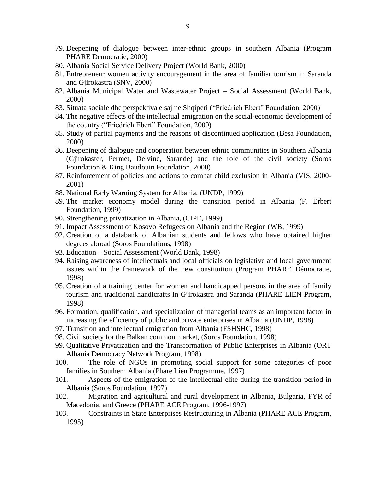- 79. Deepening of dialogue between inter-ethnic groups in southern Albania (Program PHARE Democratie, 2000)
- 80. Albania Social Service Delivery Project (World Bank, 2000)
- 81. Entrepreneur women activity encouragement in the area of familiar tourism in Saranda and Gjirokastra (SNV, 2000)
- 82. Albania Municipal Water and Wastewater Project Social Assessment (World Bank, 2000)
- 83. Situata sociale dhe perspektiva e saj ne Shqiperi ("Friedrich Ebert" Foundation, 2000)
- 84. The negative effects of the intellectual emigration on the social-economic development of the country ("Friedrich Ebert" Foundation, 2000)
- 85. Study of partial payments and the reasons of discontinued application (Besa Foundation, 2000)
- 86. Deepening of dialogue and cooperation between ethnic communities in Southern Albania (Gjirokaster, Permet, Delvine, Sarande) and the role of the civil society (Soros Foundation & King Baudouin Foundation, 2000)
- 87. Reinforcement of policies and actions to combat child exclusion in Albania (VIS, 2000- 2001)
- 88. National Early Warning System for Albania, (UNDP, 1999)
- 89. The market economy model during the transition period in Albania (F. Erbert Foundation, 1999)
- 90. Strengthening privatization in Albania, (CIPE, 1999)
- 91. Impact Assessment of Kosovo Refugees on Albania and the Region (WB, 1999)
- 92. Creation of a databank of Albanian students and fellows who have obtained higher degrees abroad (Soros Foundations, 1998)
- 93. Education Social Assessment (World Bank, 1998)
- 94. Raising awareness of intellectuals and local officials on legislative and local government issues within the framework of the new constitution (Program PHARE Démocratie, 1998)
- 95. Creation of a training center for women and handicapped persons in the area of family tourism and traditional handicrafts in Gjirokastra and Saranda (PHARE LIEN Program, 1998)
- 96. Formation, qualification, and specialization of managerial teams as an important factor in increasing the efficiency of public and private enterprises in Albania (UNDP, 1998)
- 97. Transition and intellectual emigration from Albania (FSHSHC, 1998)
- 98. Civil society for the Balkan common market, (Soros Foundation, 1998)
- 99. Qualitative Privatization and the Transformation of Public Enterprises in Albania (ORT Albania Democracy Network Program, 1998)
- 100. The role of NGOs in promoting social support for some categories of poor families in Southern Albania (Phare Lien Programme, 1997)
- 101. Aspects of the emigration of the intellectual elite during the transition period in Albania (Soros Foundation, 1997)
- 102. Migration and agricultural and rural development in Albania, Bulgaria, FYR of Macedonia, and Greece (PHARE ACE Program, 1996-1997)
- 103. Constraints in State Enterprises Restructuring in Albania (PHARE ACE Program, 1995)